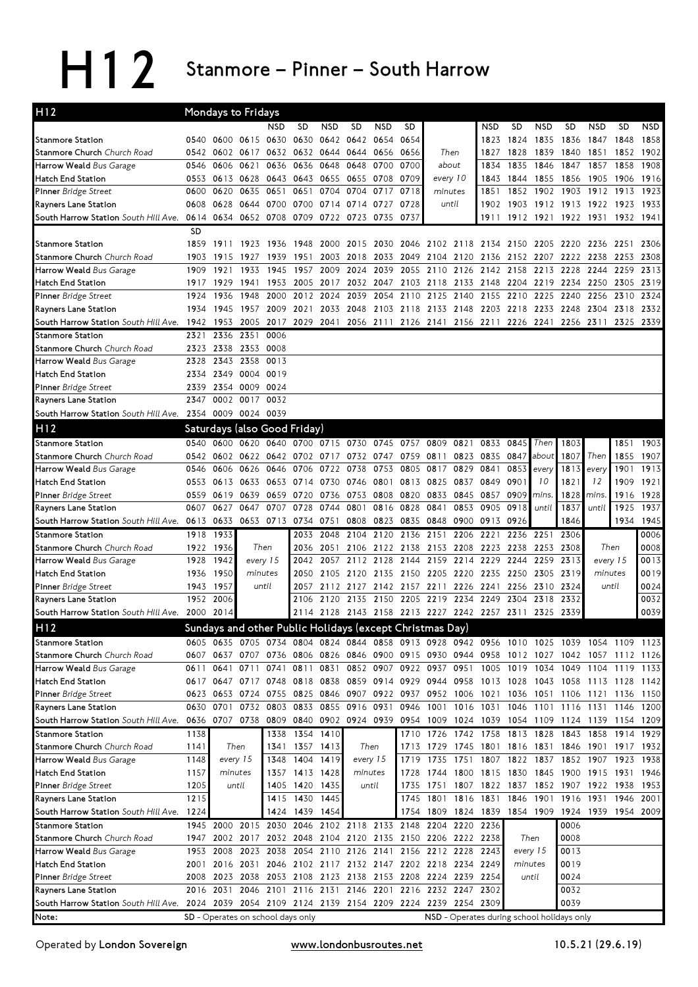H12 Stanmore – Pinner – South Harrow

| H <sub>12</sub>                                                                                                                |              | Mondays to Fridays                                                                                               |              |              |                                                                       |                |                |                |           |                                    |           |                                                                          |           |              |                             |            |              |              |
|--------------------------------------------------------------------------------------------------------------------------------|--------------|------------------------------------------------------------------------------------------------------------------|--------------|--------------|-----------------------------------------------------------------------|----------------|----------------|----------------|-----------|------------------------------------|-----------|--------------------------------------------------------------------------|-----------|--------------|-----------------------------|------------|--------------|--------------|
|                                                                                                                                |              |                                                                                                                  |              | <b>NSD</b>   | <b>SD</b>                                                             | <b>NSD</b>     | SD             | <b>NSD</b>     | SD        |                                    |           | <b>NSD</b>                                                               | SD        | NSD          | <b>SD</b>                   | <b>NSD</b> | <b>SD</b>    | <b>NSD</b>   |
| <b>Stanmore Station</b>                                                                                                        | 0540         | 0600                                                                                                             | 0615         | 0630         | 0630                                                                  | 0642           | 0642           | 0654           | 0654      |                                    |           | 1823                                                                     | 1824      | 1835         | 1836                        | 1847       | 1848         | 1858         |
| Stanmore Church Church Road                                                                                                    | 0542         | 0602                                                                                                             | 0617         | 0632         | 0632                                                                  | 0644           | 0644           | 0656           | 0656      | Then                               |           | 1827                                                                     | 1828      | 1839         | 1840                        | 1851       | 1852         | 1902         |
| Harrow Weald Bus Garage                                                                                                        | 0546         | 0606                                                                                                             | 0621         | 0636         | 0636                                                                  | 0648           | 0648           | 0700           | 0700      | about                              |           | 1834                                                                     | 1835      | 1846         | 1847                        | 1857       | 1858         | 1908         |
| Hatch End Station                                                                                                              | 0553         |                                                                                                                  | 0613 0628    | 0643         | 0643                                                                  | 0655           | 0655           | 0708           | 0709      | every 10                           |           | 1843                                                                     | 1844      | 1855         | 1856                        | 1905       | 1906         | 1916         |
| <b>Pinner</b> Bridge Street                                                                                                    | 0600         | 0620                                                                                                             | 0635         | 0651         | 0651                                                                  | 0704           | 0704           | 0717           | 0718      | minutes                            |           | 1851                                                                     | 1852      | 1902         | 1903                        | 1912       | 1913         | 1923         |
| Rayners Lane Station                                                                                                           | 0608         | 0628                                                                                                             | 0644         | 0700         | 0700                                                                  | 0714           | 0714           | 0727           | 0728      | until                              |           | 1902                                                                     | 1903      |              | 1912 1913 1922 1923         |            |              | 1933         |
| South Harrow Station South Hill Ave.                                                                                           |              | 0614 0634 0652 0708                                                                                              |              |              |                                                                       | 0709 0722 0723 |                | 0735           | 0737      |                                    |           |                                                                          |           |              | 1911 1912 1921 1922 1931    |            | 1932 1941    |              |
|                                                                                                                                | <b>SD</b>    |                                                                                                                  |              |              |                                                                       |                |                |                |           |                                    |           |                                                                          |           |              |                             |            |              |              |
| <b>Stanmore Station</b>                                                                                                        | 1859         | 1911                                                                                                             | 1923         | 1936         | 1948                                                                  | 2000           | 2015           |                | 2030 2046 |                                    |           | 2102 2118 2134 2150                                                      |           | 2205 2220    |                             | 2236       | 2251         | 2306         |
| Stanmore Church Church Road                                                                                                    | 1903         | 1915                                                                                                             | 1927         | 1939         | 1951                                                                  | 2003           | 2018           | 2033 2049      |           |                                    |           | 2104 2120 2136                                                           | 2152 2207 |              | 2222 2238                   |            | 2253         | 2308         |
| Harrow Weald Bus Garage                                                                                                        | 1909<br>1917 | 1921<br>1929                                                                                                     | 1933<br>1941 | 1945<br>1953 | 1957                                                                  | 2009           | 2024           | 2039           | 2055      |                                    |           | 2110 2126 2142 2158<br>2005 2017 2032 2047 2103 2118 2133 2148 2204 2219 |           |              | 2213 2228 2244<br>2234 2250 |            | 2259<br>2305 | 2313<br>2319 |
| Hatch End Station<br>Pinner Bridge Street                                                                                      | 1924         | 1936                                                                                                             | 1948         | 2000         |                                                                       | 2012 2024      | 2039           |                | 2054 2110 | 2125                               | 2140      | 2155                                                                     | 2210 2225 |              | 2240                        | 2256       | 2310         | 2324         |
| Rayners Lane Station                                                                                                           | 1934         | 1945                                                                                                             | 1957         | 2009         | 2021                                                                  |                | 2033 2048      |                |           |                                    |           | 2103 2118 2133 2148 2203 2218 2233 2248 2304                             |           |              |                             |            | 2318         | 2332         |
| South Harrow Station South Hill Ave. 1942                                                                                      |              | 1953                                                                                                             | 2005         | 2017         |                                                                       |                |                |                |           |                                    |           | 2029 2041 2056 2111 2126 2141 2156 2211 2226 2241 2256 2311              |           |              |                             |            | 2325         | 2339         |
| Stanmore Station                                                                                                               | 2321         | 2336                                                                                                             | 2351         | 0006         |                                                                       |                |                |                |           |                                    |           |                                                                          |           |              |                             |            |              |              |
| Stanmore Church Church Road                                                                                                    | 2323         | 2338 2353 0008                                                                                                   |              |              |                                                                       |                |                |                |           |                                    |           |                                                                          |           |              |                             |            |              |              |
| Harrow Weald Bus Garage                                                                                                        | 2328         |                                                                                                                  | 2343 2358    | 0013         |                                                                       |                |                |                |           |                                    |           |                                                                          |           |              |                             |            |              |              |
| <b>Hatch End Station</b>                                                                                                       | 2334         | 2349                                                                                                             | 0004 0019    |              |                                                                       |                |                |                |           |                                    |           |                                                                          |           |              |                             |            |              |              |
| <b>Pinner</b> Bridge Street                                                                                                    | 2339         | 2354 0009 0024                                                                                                   |              |              |                                                                       |                |                |                |           |                                    |           |                                                                          |           |              |                             |            |              |              |
| Rayners Lane Station                                                                                                           | 2347         | 0002                                                                                                             | 0017         | 0032         |                                                                       |                |                |                |           |                                    |           |                                                                          |           |              |                             |            |              |              |
| South Harrow Station South Hill Ave. 2354 0009 0024 0039                                                                       |              |                                                                                                                  |              |              |                                                                       |                |                |                |           |                                    |           |                                                                          |           |              |                             |            |              |              |
| H <sub>12</sub>                                                                                                                |              | Saturdays (also Good Friday)                                                                                     |              |              |                                                                       |                |                |                |           |                                    |           |                                                                          |           |              |                             |            |              |              |
| <b>Stanmore Station</b>                                                                                                        |              | 0540 0600                                                                                                        |              |              | 0620 0640 0700 0715 0730 0745 0757                                    |                |                |                |           | 0809                               | 0821      | 0833                                                                     | 0845      | Then         | 1803                        |            | 1851         | 1903         |
| <b>Stanmore Church Church Road</b>                                                                                             | 0542         | 0602 0622 0642 0702 0717 0732 0747 0759 0811                                                                     |              |              |                                                                       |                |                |                |           |                                    | 0823      | 0835                                                                     | 0847      | about        | 1807                        | Then       | 1855         | 1907         |
| Harrow Weald Bus Garage                                                                                                        | 0546         | 0606                                                                                                             | 0626         | 0646         | 0706                                                                  | 0722           | 0738           | 0753           | 0805      | 0817                               | 0829      | 0841                                                                     | 0853      | every        | 1813                        | every      | 1901         | 1913         |
| <b>Hatch End Station</b>                                                                                                       | 0553         | 0613 0633                                                                                                        |              | 0653         | 0714 0730 0746                                                        |                |                | 0801 0813      |           | 0825                               | 0837      | 0849                                                                     | 090       | 10           | 1821                        | 12         | 1909         | 1921         |
| Pinner Bridge Street                                                                                                           | 0559         | 0619                                                                                                             | 0639         | 0659         | 0720                                                                  | 0736           | 0753           | 0808           | 0820      | 0833                               | 0845      | 0857                                                                     | 0909      | mins.        | 1828                        | mins.      | 1916         | 1928         |
| Rayners Lane Station                                                                                                           | 0607         | 0627                                                                                                             | 0647         | 0707         | 0728                                                                  | 0744           | 0801           | 0816           | 0828      | 0841                               | 0853      | 0905                                                                     | 0918      | until        | 1837                        | until      | 1925         | 1937         |
| South Harrow Station South Hill Ave.                                                                                           |              | 0613 0633 0653 0713 0734 0751                                                                                    |              |              |                                                                       |                | 0808           | 0823 0835 0848 |           |                                    | 0900      | 0913                                                                     | 0926      |              | 1846                        |            |              | 1934 1945    |
| <b>Stanmore Station</b>                                                                                                        |              | 1918 1933                                                                                                        |              |              | 2033                                                                  | 2048           |                |                |           | 2104 2120 2136 2151 2206           |           | 2221                                                                     | 2236      | 2251         | 2306                        |            |              | 0006         |
| Stanmore Church Church Road                                                                                                    |              | 1922 1936                                                                                                        | Then         |              | 2036                                                                  | 2051           | 2106           |                |           | 2122 2138 2153 2208                |           | 2223                                                                     | 2238      | 2253         | 2308                        | Then       |              | 0008         |
| Harrow Weald Bus Garage                                                                                                        | 1928         | 1942                                                                                                             |              | every 15     | 2042                                                                  | 2057           | 2112 2128 2144 |                |           | 2159                               | 2214      | 2229                                                                     | 2244      | 2259         | 2313                        | every 15   |              | 0013         |
| <b>Hatch End Station</b>                                                                                                       | 1936         | 1950                                                                                                             | minutes      |              |                                                                       | 2050 2105 2120 |                |                |           | 2135 2150 2205 2220 2235           |           |                                                                          | 2250      | 2305 2319    |                             | minutes    |              | 0019         |
| Pinner Bridge Street                                                                                                           | 1943         | 1957                                                                                                             |              | until        | 2057                                                                  |                |                |                |           | 2112 2127 2142 2157 2211 2226 2241 |           |                                                                          | 2256      | 2310         | 2324                        | until      |              | 0024         |
| Rayners Lane Station                                                                                                           | 1952         | 2006                                                                                                             |              |              | 2106                                                                  | 2120           | 2135           | 2150 2205      |           | 2219 2234                          |           | 2249                                                                     | 2304      | 2318<br>2325 | 2332<br>2339                |            |              | 0032<br>0039 |
| South Harrow Station South Hill Ave.                                                                                           | 2000         | 2014                                                                                                             |              |              |                                                                       |                |                |                |           |                                    |           | 2114 2128 2143 2158 2213 2227 2242 2257 2311                             |           |              |                             |            |              |              |
| H12                                                                                                                            |              | Sundays and other Public Holidays (except Christmas Day)                                                         |              |              |                                                                       |                |                |                |           |                                    |           |                                                                          |           |              |                             |            |              |              |
| Stanmore Station<br><b>Stanmore Church</b> Church Road                                                                         |              | 0605 0635 0705 0734 0804 0824 0844 0858 0913 0928 0942 0956 1010 1025 1039 1054 1109 1123<br>0607 0637 0707 0736 |              |              | 0806 0826 0846 0900 0915 0930 0944 0958 1012 1027 1042 1057 1112 1126 |                |                |                |           |                                    |           |                                                                          |           |              |                             |            |              |              |
| Harrow Weald Bus Garage                                                                                                        |              | 0611 0641 0711 0741 0811 0831 0852 0907 0922 0937 0951 1005 1019 1034 1049 1104 1119 1133                        |              |              |                                                                       |                |                |                |           |                                    |           |                                                                          |           |              |                             |            |              |              |
| Hatch End Station                                                                                                              |              | 0617 0647 0717 0748                                                                                              |              |              | 0818 0838 0859 0914 0929 0944 0958 1013 1028 1043 1058 1113 1128 1142 |                |                |                |           |                                    |           |                                                                          |           |              |                             |            |              |              |
| Pinner Bridge Street                                                                                                           | 0623         | 0653 0724 0755                                                                                                   |              |              | 0825 0846 0907 0922 0937                                              |                |                |                |           |                                    |           | 0952 1006 1021 1036 1051 1106 1121 1136 1150                             |           |              |                             |            |              |              |
| Rayners Lane Station                                                                                                           |              | 0630 0701 0732 0803                                                                                              |              |              | 0833 0855 0916 0931                                                   |                |                |                | 0946      |                                    |           | 1001 1016 1031 1046 1101                                                 |           |              | 1116 1131                   |            | 1146 1200    |              |
| South Harrow Station South Hill Ave. 0636 0707 0738 0809 0840 0902 0924 0939 0954 1009 1024 1039 1054 1109 1124 1139 1154 1209 |              |                                                                                                                  |              |              |                                                                       |                |                |                |           |                                    |           |                                                                          |           |              |                             |            |              |              |
| <b>Stanmore Station</b>                                                                                                        | 1138         |                                                                                                                  |              | 1338         | 1354 1410                                                             |                |                |                |           |                                    |           | 1710 1726 1742 1758 1813 1828 1843 1858                                  |           |              |                             |            | 1914 1929    |              |
| Stanmore Church Church Road                                                                                                    | 1141         |                                                                                                                  | Then         | 1341         |                                                                       | 1357 1413      | Then           |                | 1713      |                                    |           | 1729 1745 1801 1816 1831 1846 1901 1917 1932                             |           |              |                             |            |              |              |
| Harrow Weald Bus Garage                                                                                                        | 1148         |                                                                                                                  | every 15     | 1348         |                                                                       | 1404 1419      | every 15       |                | 1719      | 1735                               |           | 1751 1807 1822 1837                                                      |           |              | 1852 1907                   |            |              | 1923 1938    |
| Hatch End Station                                                                                                              | 1157         |                                                                                                                  | minutes      | 1357         |                                                                       | 1413 1428      | minutes        |                | 1728      | 1744                               | 1800 1815 |                                                                          | 1830 1845 |              | 1900 1915                   |            | 1931 1946    |              |
| Pinner Bridge Street                                                                                                           | 1205         |                                                                                                                  | until        | 1405         |                                                                       | 1420 1435      |                | until          | 1735      | 1751                               |           | 1807 1822                                                                | 1837      | 1852         | 1907 1922                   |            | 1938         | 1953         |
| Rayners Lane Station                                                                                                           | 1215         |                                                                                                                  |              | 1415         |                                                                       | 1430 1445      |                |                | 1745      | 1801                               |           | 1816 1831                                                                | 1846      | 1901         | 1916                        | 1931       |              | 1946 2001    |
| South Harrow Station South Hill Ave. 1224                                                                                      |              |                                                                                                                  |              |              | 1424 1439 1454                                                        |                |                |                |           |                                    |           | 1754 1809 1824 1839 1854 1909 1924 1939 1954 2009                        |           |              |                             |            |              |              |
| <b>Stanmore Station</b>                                                                                                        |              | 1945 2000 2015 2030 2046 2102 2118 2133 2148 2204 2220 2236                                                      |              |              |                                                                       |                |                |                |           |                                    |           |                                                                          |           |              | 0006                        |            |              |              |
| <b>Stanmore Church</b> Church Road                                                                                             |              | 1947 2002 2017 2032 2048 2104 2120 2135 2150 2206 2222 2238                                                      |              |              |                                                                       |                |                |                |           |                                    |           |                                                                          |           | Then         | 0008                        |            |              |              |
| Harrow Weald Bus Garage                                                                                                        |              | 1953 2008 2023 2038                                                                                              |              |              | 2054 2110 2126                                                        |                |                |                |           | 2141 2156 2212 2228 2243           |           |                                                                          |           | every 15     | 0013                        |            |              |              |
| Hatch End Station                                                                                                              | 2001<br>2008 |                                                                                                                  |              |              | 2016 2031 2046 2102 2117 2132 2147 2202 2218 2234 2249                |                |                |                |           |                                    |           |                                                                          | minutes   | until        | 0019<br>0024                |            |              |              |
| Pinner Bridge Street                                                                                                           |              |                                                                                                                  |              |              | 2023 2038 2053 2108 2123 2138 2153 2208 2224 2239 2254                |                |                |                |           |                                    |           |                                                                          |           |              |                             |            |              |              |
|                                                                                                                                |              |                                                                                                                  |              |              |                                                                       |                |                |                |           |                                    |           |                                                                          |           |              |                             |            |              |              |
| Rayners Lane Station                                                                                                           |              | 2016 2031                                                                                                        |              |              | 2046 2101 2116 2131 2146 2201 2216 2232 2247 2302                     |                |                |                |           |                                    |           |                                                                          |           |              | 0032                        |            |              |              |
| South Harrow Station South Hill Ave. 2024 2039 2054 2109 2124 2139 2154 2209 2224 2239 2254 2309<br>Note:                      |              | SD - Operates on school days only                                                                                |              |              |                                                                       |                |                |                |           |                                    |           | NSD - Operates during school holidays only                               |           |              | 0039                        |            |              |              |